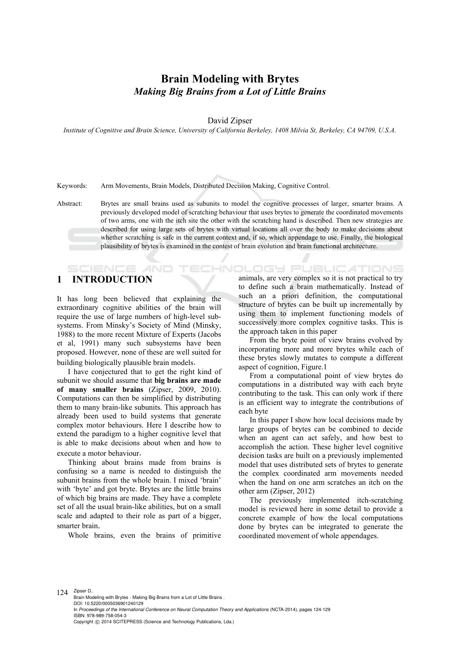# **Brain Modeling with Brytes**  *Making Big Brains from a Lot of Little Brains*

David Zipser

*Institute of Cognitive and Brain Science, University of California Berkeley, 1408 Milvia St, Berkeley, CA 94709, U.S.A.* 

Keywords: Arm Movements, Brain Models, Distributed Decision Making, Cognitive Control.

Abstract: Brytes are small brains used as subunits to model the cognitive processes of larger, smarter brains. A previously developed model of scratching behaviour that uses brytes to generate the coordinated movements of two arms, one with the itch site the other with the scratching hand is described. Then new strategies are described for using large sets of brytes with virtual locations all over the body to make decisions about whether scratching is safe in the current context and, if so, which appendage to use. Finally, the biological plausibility of brytes is examined in the contest of brain evolution and brain functional architecture.

-IN

## **1 INTRODUCTION**

It has long been believed that explaining the extraordinary cognitive abilities of the brain will require the use of large numbers of high-level subsystems. From Minsky's Society of Mind (Minsky, 1988) to the more recent Mixture of Experts (Jacobs et al, 1991) many such subsystems have been proposed. However, none of these are well suited for

building biologically plausible brain models. I have conjectured that to get the right kind of subunit we should assume that **big brains are made of many smaller brains** (Zipser, 2009, 2010). Computations can then be simplified by distributing them to many brain-like subunits. This approach has already been used to build systems that generate complex motor behaviours. Here I describe how to extend the paradigm to a higher cognitive level that is able to make decisions about when and how to execute a motor behaviour. Thinking about brains made from brains is

confusing so a name is needed to distinguish the subunit brains from the whole brain. I mixed 'brain' with 'byte' and got bryte. Brytes are the little brains of which big brains are made. They have a complete set of all the usual brain-like abilities, but on a small scale and adapted to their role as part of a bigger, smarter brain. Whole brains, even the brains of primitive

ATIONS ILOGY Pl animals, are very complex so it is not practical to try to define such a brain mathematically. Instead of such an a priori definition, the computational structure of brytes can be built up incrementally by using them to implement functioning models of successively more complex cognitive tasks. This is the approach taken in this paper From the bryte point of view brains evolved by

incorporating more and more brytes while each of these brytes slowly mutates to compute a different aspect of cognition, Figure.1<br>From a computational point of view brytes do

computations in a distributed way with each bryte contributing to the task. This can only work if there is an efficient way to integrate the contributions of

each byte<br>In this paper I show how local decisions made by large groups of brytes can be combined to decide when an agent can act safely, and how best to accomplish the action. These higher level cognitive decision tasks are built on a previously implemented model that uses distributed sets of brytes to generate the complex coordinated arm movements needed when the hand on one arm scratches an itch on the other arm (Zipser, 2012) The previously implemented itch-scratching

model is reviewed here in some detail to provide a concrete example of how the local computations done by brytes can be integrated to generate the coordinated movement of whole appendages.

124 Zipser D.. Brain Modeling with Brytes - Making Big Brains from a Lot of Little Brains . DOI: 10.5220/0005036901240129 In *Proceedings of the International Conference on Neural Computation Theory and Applications* (NCTA-2014), pages 124-129 ISBN: 978-989-758-054-3 Copyright © 2014 SCITEPRESS (Science and Technology Publications, Lda.)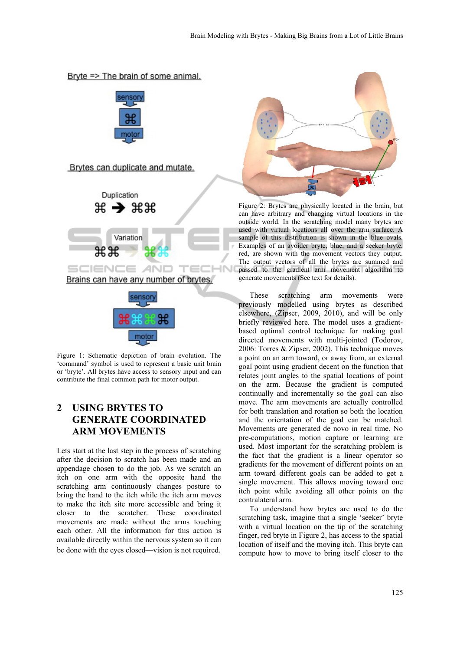



Brytes can duplicate and mutate.





Figure 1: Schematic depiction of brain evolution. The 'command' symbol is used to represent a basic unit brain or 'bryte'. All brytes have access to sensory input and can contribute the final common path for motor output.

## **2 USING BRYTES TO GENERATE COORDINATED ARM MOVEMENTS**

Lets start at the last step in the process of scratching after the decision to scratch has been made and an appendage chosen to do the job. As we scratch an itch on one arm with the opposite hand the scratching arm continuously changes posture to bring the hand to the itch while the itch arm moves to make the itch site more accessible and bring it closer to the scratcher. These coordinated movements are made without the arms touching each other. All the information for this action is available directly within the nervous system so it can be done with the eyes closed—vision is not required.



Figure 2: Brytes are physically located in the brain, but can have arbitrary and changing virtual locations in the outside world. In the scratching model many brytes are used with virtual locations all over the arm surface. A sample of this distribution is shown in the blue ovals. Examples of an avoider bryte, blue, and a seeker bryte, red, are shown with the movement vectors they output. The output vectors of all the brytes are summed and passed to the gradient arm movement algorithm to generate movements (See text for details).

These scratching arm movements were previously modelled using brytes as described elsewhere, (Zipser, 2009, 2010), and will be only briefly reviewed here. The model uses a gradientbased optimal control technique for making goal directed movements with multi-jointed (Todorov, 2006: Torres & Zipser, 2002). This technique moves a point on an arm toward, or away from, an external goal point using gradient decent on the function that relates joint angles to the spatial locations of point on the arm. Because the gradient is computed continually and incrementally so the goal can also move. The arm movements are actually controlled for both translation and rotation so both the location and the orientation of the goal can be matched. Movements are generated de novo in real time. No pre-computations, motion capture or learning are used. Most important for the scratching problem is the fact that the gradient is a linear operator so gradients for the movement of different points on an arm toward different goals can be added to get a single movement. This allows moving toward one itch point while avoiding all other points on the contralateral arm.

To understand how brytes are used to do the scratching task, imagine that a single 'seeker' bryte with a virtual location on the tip of the scratching finger, red bryte in Figure 2, has access to the spatial location of itself and the moving itch. This bryte can compute how to move to bring itself closer to the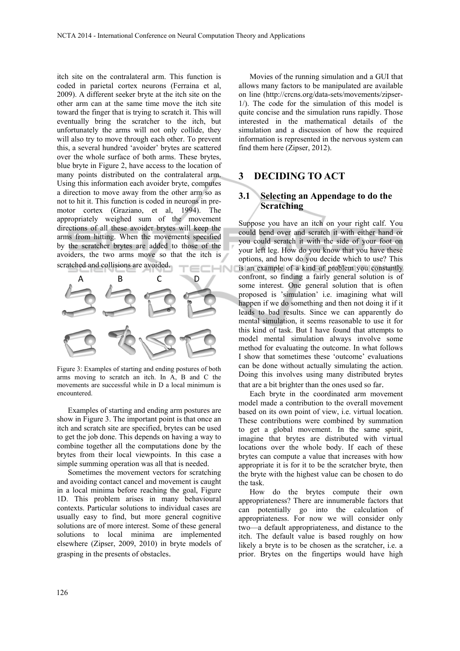itch site on the contralateral arm. This function is coded in parietal cortex neurons (Ferraina et al, 2009). A different seeker bryte at the itch site on the other arm can at the same time move the itch site toward the finger that is trying to scratch it. This will eventually bring the scratcher to the itch, but unfortunately the arms will not only collide, they will also try to move through each other. To prevent this, a several hundred 'avoider' brytes are scattered over the whole surface of both arms. These brytes, blue bryte in Figure 2, have access to the location of many points distributed on the contralateral arm. Using this information each avoider bryte, computes a direction to move away from the other arm so as not to hit it. This function is coded in neurons in premotor cortex (Graziano, et al, 1994). The appropriately weighed sum of the movement directions of all these avoider brytes will keep the arms from hitting. When the movements specified by the scratcher brytes are added to those of the avoiders, the two arms move so that the itch is scratched and collisions are avoided.



Figure 3: Examples of starting and ending postures of both arms moving to scratch an itch. In A, B and C the movements are successful while in D a local minimum is encountered.

Examples of starting and ending arm postures are show in Figure 3. The important point is that once an itch and scratch site are specified, brytes can be used to get the job done. This depends on having a way to combine together all the computations done by the brytes from their local viewpoints. In this case a simple summing operation was all that is needed.

Sometimes the movement vectors for scratching and avoiding contact cancel and movement is caught in a local minima before reaching the goal, Figure 1D. This problem arises in many behavioural contexts. Particular solutions to individual cases are usually easy to find, but more general cognitive solutions are of more interest. Some of these general solutions to local minima are implemented elsewhere (Zipser, 2009, 2010) in bryte models of grasping in the presents of obstacles.

Movies of the running simulation and a GUI that allows many factors to be manipulated are available on line (http://crcns.org/data-sets/movements/zipser-1/). The code for the simulation of this model is quite concise and the simulation runs rapidly. Those interested in the mathematical details of the simulation and a discussion of how the required information is represented in the nervous system can find them here (Zipser, 2012).

### **3 DECIDING TO ACT**

#### **3.1 Selecting an Appendage to do the Scratching**

Suppose you have an itch on your right calf. You could bend over and scratch it with either hand or you could scratch it with the side of your foot on your left leg. How do you know that you have these options, and how do you decide which to use? This is an example of a kind of problem you constantly confront, so finding a fairly general solution is of some interest. One general solution that is often proposed is 'simulation' i.e. imagining what will happen if we do something and then not doing it if it leads to bad results. Since we can apparently do mental simulation, it seems reasonable to use it for this kind of task. But I have found that attempts to model mental simulation always involve some method for evaluating the outcome. In what follows I show that sometimes these 'outcome' evaluations can be done without actually simulating the action. Doing this involves using many distributed brytes that are a bit brighter than the ones used so far. Each bryte in the coordinated arm movement

model made a contribution to the overall movement based on its own point of view, i.e. virtual location. These contributions were combined by summation to get a global movement. In the same spirit, imagine that brytes are distributed with virtual locations over the whole body. If each of these brytes can compute a value that increases with how appropriate it is for it to be the scratcher bryte, then the bryte with the highest value can be chosen to do the task. How do the brytes compute their own

appropriateness? There are innumerable factors that can potentially go into the calculation of appropriateness. For now we will consider only two—a default appropriateness, and distance to the itch. The default value is based roughly on how likely a bryte is to be chosen as the scratcher, i.e. a prior. Brytes on the fingertips would have high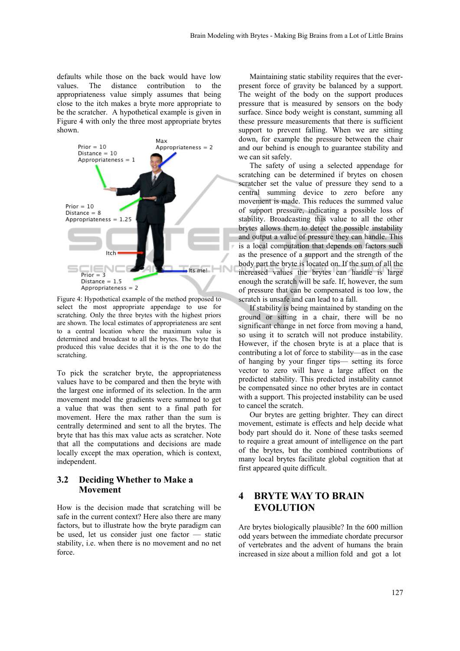defaults while those on the back would have low values. The distance contribution to the appropriateness value simply assumes that being close to the itch makes a bryte more appropriate to be the scratcher. A hypothetical example is given in Figure 4 with only the three most appropriate brytes shown.



Figure 4: Hypothetical example of the method proposed to select the most appropriate appendage to use for scratching. Only the three brytes with the highest priors are shown. The local estimates of appropriateness are sent to a central location where the maximum value is determined and broadcast to all the brytes. The bryte that produced this value decides that it is the one to do the scratching.

To pick the scratcher bryte, the appropriateness values have to be compared and then the bryte with the largest one informed of its selection. In the arm movement model the gradients were summed to get a value that was then sent to a final path for movement. Here the max rather than the sum is centrally determined and sent to all the brytes. The bryte that has this max value acts as scratcher. Note that all the computations and decisions are made locally except the max operation, which is context, independent.

#### **3.2 Deciding Whether to Make a Movement**

How is the decision made that scratching will be safe in the current context? Here also there are many factors, but to illustrate how the bryte paradigm can be used, let us consider just one factor — static stability, i.e. when there is no movement and no net force.

Maintaining static stability requires that the everpresent force of gravity be balanced by a support. The weight of the body on the support produces pressure that is measured by sensors on the body surface. Since body weight is constant, summing all these pressure measurements that there is sufficient support to prevent falling. When we are sitting down, for example the pressure between the chair and our behind is enough to guarantee stability and we can sit safely. The safety of using a selected appendage for

scratching can be determined if brytes on chosen scratcher set the value of pressure they send to a central summing device to zero before any movement is made. This reduces the summed value of support pressure, indicating a possible loss of stability. Broadcasting this value to all the other brytes allows them to detect the possible instability and output a value of pressure they can handle. This is a local computation that depends on factors such as the presence of a support and the strength of the body part the bryte is located on. If the sum of all the increased values the brytes can handle is large enough the scratch will be safe. If, however, the sum of pressure that can be compensated is too low, the scratch is unsafe and can lead to a fall.

If stability is being maintained by standing on the ground or sitting in a chair, there will be no significant change in net force from moving a hand, so using it to scratch will not produce instability. However, if the chosen bryte is at a place that is contributing a lot of force to stability—as in the case of hanging by your finger tips— setting its force vector to zero will have a large affect on the predicted stability. This predicted instability cannot be compensated since no other brytes are in contact with a support. This projected instability can be used to cancel the scratch.

Our brytes are getting brighter. They can direct movement, estimate is effects and help decide what body part should do it. None of these tasks seemed to require a great amount of intelligence on the part of the brytes, but the combined contributions of many local brytes facilitate global cognition that at first appeared quite difficult.

## **4 BRYTE WAY TO BRAIN EVOLUTION**

Are brytes biologically plausible? In the 600 million odd years between the immediate chordate precursor of vertebrates and the advent of humans the brain increased in size about a million fold and got a lot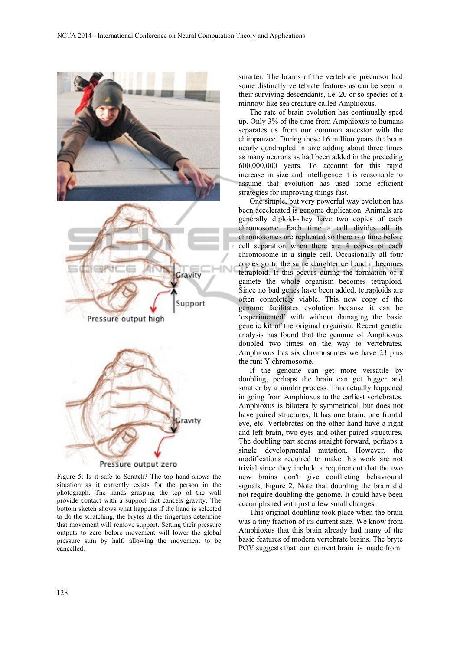

Figure 5: Is it safe to Scratch? The top hand shows the situation as it currently exists for the person in the photograph. The hands grasping the top of the wall provide contact with a support that cancels gravity. The bottom sketch shows what happens if the hand is selected to do the scratching, the brytes at the fingertips determine that movement will remove support. Setting their pressure outputs to zero before movement will lower the global pressure sum by half, allowing the movement to be cancelled.

smarter. The brains of the vertebrate precursor had some distinctly vertebrate features as can be seen in their surviving descendants, i.e. 20 or so species of a minnow like sea creature called Amphioxus.

The rate of brain evolution has continually sped up. Only 3% of the time from Amphioxus to humans separates us from our common ancestor with the chimpanzee. During these 16 million years the brain nearly quadrupled in size adding about three times as many neurons as had been added in the preceding 600,000,000 years. To account for this rapid increase in size and intelligence it is reasonable to assume that evolution has used some efficient strategies for improving things fast.

One simple, but very powerful way evolution has been accelerated is genome duplication. Animals are generally diploid--they have two copies of each chromosome. Each time a cell divides all its chromosomes are replicated so there is a time before cell separation when there are 4 copies of each chromosome in a single cell. Occasionally all four copies go to the same daughter cell and it becomes tetraploid. If this occurs during the formation of a gamete the whole organism becomes tetraploid. Since no bad genes have been added, tetraploids are often completely viable. This new copy of the genome facilitates evolution because it can be 'experimented' with without damaging the basic genetic kit of the original organism. Recent genetic analysis has found that the genome of Amphioxus doubled two times on the way to vertebrates. Amphioxus has six chromosomes we have 23 plus the runt Y chromosome.

If the genome can get more versatile by doubling, perhaps the brain can get bigger and smatter by a similar process. This actually happened in going from Amphioxus to the earliest vertebrates. Amphioxus is bilaterally symmetrical, but does not have paired structures. It has one brain, one frontal eye, etc. Vertebrates on the other hand have a right and left brain, two eyes and other paired structures. The doubling part seems straight forward, perhaps a single developmental mutation. However, the modifications required to make this work are not trivial since they include a requirement that the two new brains don't give conflicting behavioural signals, Figure 2. Note that doubling the brain did not require doubling the genome. It could have been accomplished with just a few small changes.

This original doubling took place when the brain was a tiny fraction of its current size. We know from Amphioxus that this brain already had many of the basic features of modern vertebrate brains. The bryte POV suggests that our current brain is made from